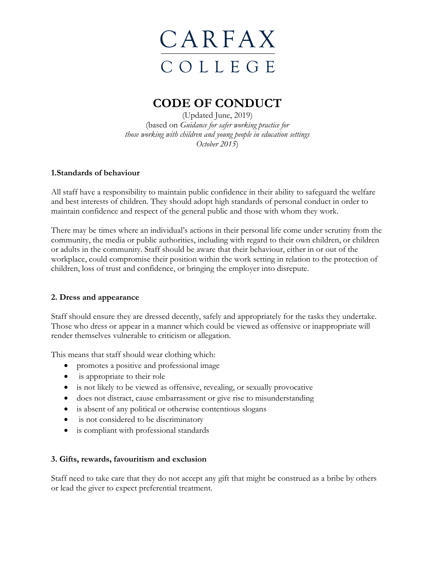

### **CODE OF CONDUCT**

(Updated June, 2019) (based on *Guidance for safer working practice for those working with children and young people in education settings October 2015*)

#### **1.Standards of behaviour**

All staff have a responsibility to maintain public confidence in their ability to safeguard the welfare and best interests of children. They should adopt high standards of personal conduct in order to maintain confidence and respect of the general public and those with whom they work.

There may be times where an individual's actions in their personal life come under scrutiny from the community, the media or public authorities, including with regard to their own children, or children or adults in the community. Staff should be aware that their behaviour, either in or out of the workplace, could compromise their position within the work setting in relation to the protection of children, loss of trust and confidence, or bringing the employer into disrepute.

### **2. Dress and appearance**

Staff should ensure they are dressed decently, safely and appropriately for the tasks they undertake. Those who dress or appear in a manner which could be viewed as offensive or inappropriate will render themselves vulnerable to criticism or allegation.

This means that staff should wear clothing which:

- promotes a positive and professional image
- is appropriate to their role
- is not likely to be viewed as offensive, revealing, or sexually provocative
- does not distract, cause embarrassment or give rise to misunderstanding
- is absent of any political or otherwise contentious slogans
- is not considered to be discriminatory
- is compliant with professional standards

### **3. Gifts, rewards, favouritism and exclusion**

Staff need to take care that they do not accept any gift that might be construed as a bribe by others or lead the giver to expect preferential treatment.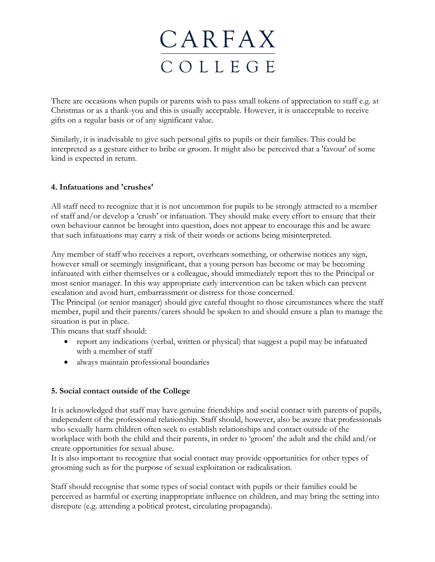There are occasions when pupils or parents wish to pass small tokens of appreciation to staff e.g. at Christmas or as a thank-you and this is usually acceptable. However, it is unacceptable to receive gifts on a regular basis or of any significant value.

Similarly, it is inadvisable to give such personal gifts to pupils or their families. This could be interpreted as a gesture either to bribe or groom. It might also be perceived that a 'favour' of some kind is expected in return.

### **4. Infatuations and 'crushes'**

All staff need to recognize that it is not uncommon for pupils to be strongly attracted to a member of staff and/or develop a 'crush' or infatuation. They should make every effort to ensure that their own behaviour cannot be brought into question, does not appear to encourage this and be aware that such infatuations may carry a risk of their words or actions being misinterpreted.

Any member of staff who receives a report, overhears something, or otherwise notices any sign, however small or seemingly insignificant, that a young person has become or may be becoming infatuated with either themselves or a colleague, should immediately report this to the Principal or most senior manager. In this way appropriate early intervention can be taken which can prevent escalation and avoid hurt, embarrassment or distress for those concerned.

The Principal (or senior manager) should give careful thought to those circumstances where the staff member, pupil and their parents/carers should be spoken to and should ensure a plan to manage the situation is put in place.

This means that staff should:

- report any indications (verbal, written or physical) that suggest a pupil may be infatuated with a member of staff
- always maintain professional boundaries

### **5. Social contact outside of the College**

It is acknowledged that staff may have genuine friendships and social contact with parents of pupils, independent of the professional relationship. Staff should, however, also be aware that professionals who sexually harm children often seek to establish relationships and contact outside of the workplace with both the child and their parents, in order to 'groom' the adult and the child and/or create opportunities for sexual abuse.

It is also important to recognize that social contact may provide opportunities for other types of grooming such as for the purpose of sexual exploitation or radicalisation.

Staff should recognise that some types of social contact with pupils or their families could be perceived as harmful or exerting inappropriate influence on children, and may bring the setting into disrepute (e.g. attending a political protest, circulating propaganda).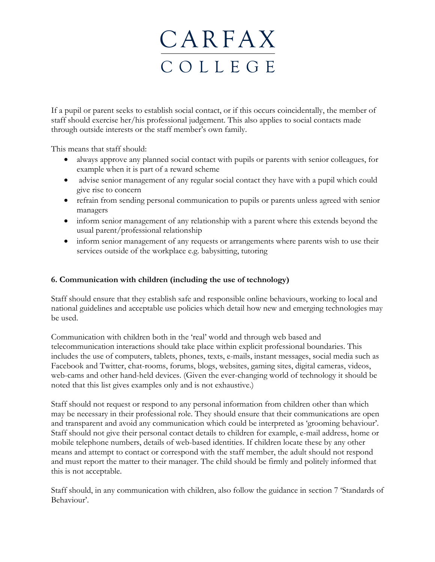If a pupil or parent seeks to establish social contact, or if this occurs coincidentally, the member of staff should exercise her/his professional judgement. This also applies to social contacts made through outside interests or the staff member's own family.

This means that staff should:

- always approve any planned social contact with pupils or parents with senior colleagues, for example when it is part of a reward scheme
- advise senior management of any regular social contact they have with a pupil which could give rise to concern
- refrain from sending personal communication to pupils or parents unless agreed with senior managers
- inform senior management of any relationship with a parent where this extends beyond the usual parent/professional relationship
- inform senior management of any requests or arrangements where parents wish to use their services outside of the workplace e.g. babysitting, tutoring

### **6. Communication with children (including the use of technology)**

Staff should ensure that they establish safe and responsible online behaviours, working to local and national guidelines and acceptable use policies which detail how new and emerging technologies may be used.

Communication with children both in the 'real' world and through web based and telecommunication interactions should take place within explicit professional boundaries. This includes the use of computers, tablets, phones, texts, e-mails, instant messages, social media such as Facebook and Twitter, chat-rooms, forums, blogs, websites, gaming sites, digital cameras, videos, web-cams and other hand-held devices. (Given the ever-changing world of technology it should be noted that this list gives examples only and is not exhaustive.)

Staff should not request or respond to any personal information from children other than which may be necessary in their professional role. They should ensure that their communications are open and transparent and avoid any communication which could be interpreted as 'grooming behaviour'. Staff should not give their personal contact details to children for example, e-mail address, home or mobile telephone numbers, details of web-based identities. If children locate these by any other means and attempt to contact or correspond with the staff member, the adult should not respond and must report the matter to their manager. The child should be firmly and politely informed that this is not acceptable.

Staff should, in any communication with children, also follow the guidance in section 7 'Standards of Behaviour'.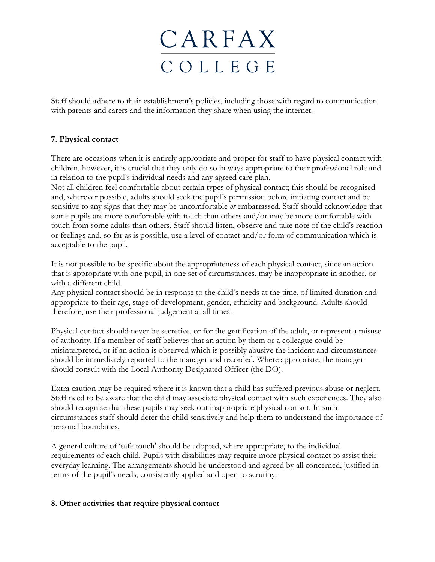Staff should adhere to their establishment's policies, including those with regard to communication with parents and carers and the information they share when using the internet.

### **7. Physical contact**

There are occasions when it is entirely appropriate and proper for staff to have physical contact with children, however, it is crucial that they only do so in ways appropriate to their professional role and in relation to the pupil's individual needs and any agreed care plan.

Not all children feel comfortable about certain types of physical contact; this should be recognised and, wherever possible, adults should seek the pupil's permission before initiating contact and be sensitive to any signs that they may be uncomfortable *or* embarrassed. Staff should acknowledge that some pupils are more comfortable with touch than others and/or may be more comfortable with touch from some adults than others. Staff should listen, observe and take note of the child's reaction or feelings and, so far as is possible, use a level of contact and/or form of communication which is acceptable to the pupil.

It is not possible to be specific about the appropriateness of each physical contact, since an action that is appropriate with one pupil, in one set of circumstances, may be inappropriate in another, or with a different child.

Any physical contact should be in response to the child's needs at the time, of limited duration and appropriate to their age, stage of development, gender, ethnicity and background. Adults should therefore, use their professional judgement at all times.

Physical contact should never be secretive, or for the gratification of the adult, or represent a misuse of authority. If a member of staff believes that an action by them or a colleague could be misinterpreted, or if an action is observed which is possibly abusive the incident and circumstances should be immediately reported to the manager and recorded. Where appropriate, the manager should consult with the Local Authority Designated Officer (the DO).

Extra caution may be required where it is known that a child has suffered previous abuse or neglect. Staff need to be aware that the child may associate physical contact with such experiences. They also should recognise that these pupils may seek out inappropriate physical contact. In such circumstances staff should deter the child sensitively and help them to understand the importance of personal boundaries.

A general culture of 'safe touch' should be adopted, where appropriate, to the individual requirements of each child. Pupils with disabilities may require more physical contact to assist their everyday learning. The arrangements should be understood and agreed by all concerned, justified in terms of the pupil's needs, consistently applied and open to scrutiny.

### **8. Other activities that require physical contact**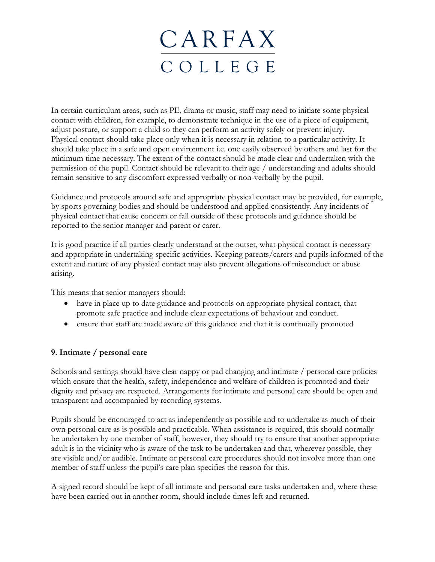In certain curriculum areas, such as PE, drama or music, staff may need to initiate some physical contact with children, for example, to demonstrate technique in the use of a piece of equipment, adjust posture, or support a child so they can perform an activity safely or prevent injury. Physical contact should take place only when it is necessary in relation to a particular activity. It should take place in a safe and open environment i.e. one easily observed by others and last for the minimum time necessary. The extent of the contact should be made clear and undertaken with the permission of the pupil. Contact should be relevant to their age / understanding and adults should remain sensitive to any discomfort expressed verbally or non-verbally by the pupil.

Guidance and protocols around safe and appropriate physical contact may be provided, for example, by sports governing bodies and should be understood and applied consistently. Any incidents of physical contact that cause concern or fall outside of these protocols and guidance should be reported to the senior manager and parent or carer.

It is good practice if all parties clearly understand at the outset, what physical contact is necessary and appropriate in undertaking specific activities. Keeping parents/carers and pupils informed of the extent and nature of any physical contact may also prevent allegations of misconduct or abuse arising.

This means that senior managers should:

- have in place up to date guidance and protocols on appropriate physical contact, that promote safe practice and include clear expectations of behaviour and conduct.
- ensure that staff are made aware of this guidance and that it is continually promoted

### **9. Intimate / personal care**

Schools and settings should have clear nappy or pad changing and intimate / personal care policies which ensure that the health, safety, independence and welfare of children is promoted and their dignity and privacy are respected. Arrangements for intimate and personal care should be open and transparent and accompanied by recording systems.

Pupils should be encouraged to act as independently as possible and to undertake as much of their own personal care as is possible and practicable. When assistance is required, this should normally be undertaken by one member of staff, however, they should try to ensure that another appropriate adult is in the vicinity who is aware of the task to be undertaken and that, wherever possible, they are visible and/or audible. Intimate or personal care procedures should not involve more than one member of staff unless the pupil's care plan specifies the reason for this.

A signed record should be kept of all intimate and personal care tasks undertaken and, where these have been carried out in another room, should include times left and returned.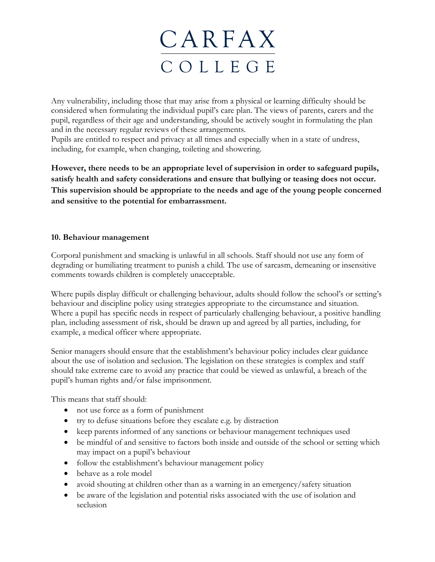Any vulnerability, including those that may arise from a physical or learning difficulty should be considered when formulating the individual pupil's care plan. The views of parents, carers and the pupil, regardless of their age and understanding, should be actively sought in formulating the plan and in the necessary regular reviews of these arrangements.

Pupils are entitled to respect and privacy at all times and especially when in a state of undress, including, for example, when changing, toileting and showering.

**However, there needs to be an appropriate level of supervision in order to safeguard pupils, satisfy health and safety considerations and ensure that bullying or teasing does not occur. This supervision should be appropriate to the needs and age of the young people concerned and sensitive to the potential for embarrassment.**

### **10. Behaviour management**

Corporal punishment and smacking is unlawful in all schools. Staff should not use any form of degrading or humiliating treatment to punish a child. The use of sarcasm, demeaning or insensitive comments towards children is completely unacceptable.

Where pupils display difficult or challenging behaviour, adults should follow the school's or setting's behaviour and discipline policy using strategies appropriate to the circumstance and situation. Where a pupil has specific needs in respect of particularly challenging behaviour, a positive handling plan*,* including assessment of risk, should be drawn up and agreed by all parties, including, for example, a medical officer where appropriate.

Senior managers should ensure that the establishment's behaviour policy includes clear guidance about the use of isolation and seclusion. The legislation on these strategies is complex and staff should take extreme care to avoid any practice that could be viewed as unlawful, a breach of the pupil's human rights and/or false imprisonment.

This means that staff should:

- not use force as a form of punishment
- try to defuse situations before they escalate e.g. by distraction
- keep parents informed of any sanctions or behaviour management techniques used
- be mindful of and sensitive to factors both inside and outside of the school or setting which may impact on a pupil's behaviour
- follow the establishment's behaviour management policy
- behave as a role model
- avoid shouting at children other than as a warning in an emergency/safety situation
- be aware of the legislation and potential risks associated with the use of isolation and seclusion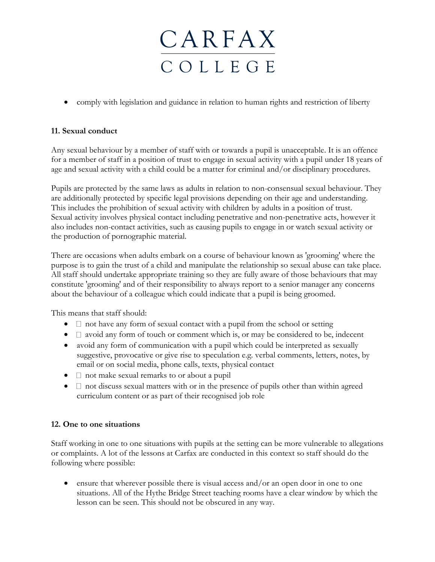• comply with legislation and guidance in relation to human rights and restriction of liberty

### **11. Sexual conduct**

Any sexual behaviour by a member of staff with or towards a pupil is unacceptable. It is an offence for a member of staff in a position of trust to engage in sexual activity with a pupil under 18 years of age and sexual activity with a child could be a matter for criminal and/or disciplinary procedures.

Pupils are protected by the same laws as adults in relation to non-consensual sexual behaviour. They are additionally protected by specific legal provisions depending on their age and understanding. This includes the prohibition of sexual activity with children by adults in a position of trust. Sexual activity involves physical contact including penetrative and non-penetrative acts, however it also includes non-contact activities, such as causing pupils to engage in or watch sexual activity or the production of pornographic material.

There are occasions when adults embark on a course of behaviour known as 'grooming' where the purpose is to gain the trust of a child and manipulate the relationship so sexual abuse can take place. All staff should undertake appropriate training so they are fully aware of those behaviours that may constitute 'grooming' and of their responsibility to always report to a senior manager any concerns about the behaviour of a colleague which could indicate that a pupil is being groomed.

This means that staff should:

- $\bullet$   $\Box$  not have any form of sexual contact with a pupil from the school or setting
- $\Box$  avoid any form of touch or comment which is, or may be considered to be, indecent
- avoid any form of communication with a pupil which could be interpreted as sexually suggestive, provocative or give rise to speculation e.g. verbal comments, letters, notes, by email or on social media, phone calls, texts, physical contact
- $\Box$  not make sexual remarks to or about a pupil
- $\bullet$   $\Box$  not discuss sexual matters with or in the presence of pupils other than within agreed curriculum content or as part of their recognised job role

### **12. One to one situations**

Staff working in one to one situations with pupils at the setting can be more vulnerable to allegations or complaints. A lot of the lessons at Carfax are conducted in this context so staff should do the following where possible:

• ensure that wherever possible there is visual access and/or an open door in one to one situations. All of the Hythe Bridge Street teaching rooms have a clear window by which the lesson can be seen. This should not be obscured in any way.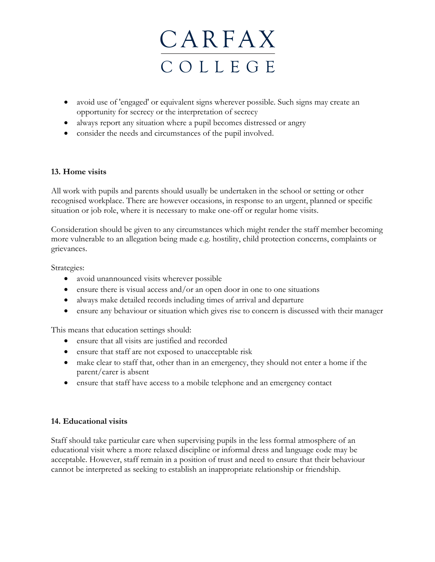

- avoid use of 'engaged' or equivalent signs wherever possible. Such signs may create an opportunity for secrecy or the interpretation of secrecy
- always report any situation where a pupil becomes distressed or angry
- consider the needs and circumstances of the pupil involved.

### **13. Home visits**

All work with pupils and parents should usually be undertaken in the school or setting or other recognised workplace. There are however occasions, in response to an urgent, planned or specific situation or job role, where it is necessary to make one-off or regular home visits.

Consideration should be given to any circumstances which might render the staff member becoming more vulnerable to an allegation being made e.g. hostility, child protection concerns, complaints or grievances.

Strategies:

- avoid unannounced visits wherever possible
- ensure there is visual access and/or an open door in one to one situations
- always make detailed records including times of arrival and departure
- ensure any behaviour or situation which gives rise to concern is discussed with their manager

This means that education settings should:

- ensure that all visits are justified and recorded
- ensure that staff are not exposed to unacceptable risk
- make clear to staff that, other than in an emergency, they should not enter a home if the parent/carer is absent
- ensure that staff have access to a mobile telephone and an emergency contact

#### **14. Educational visits**

Staff should take particular care when supervising pupils in the less formal atmosphere of an educational visit where a more relaxed discipline or informal dress and language code may be acceptable. However, staff remain in a position of trust and need to ensure that their behaviour cannot be interpreted as seeking to establish an inappropriate relationship or friendship.